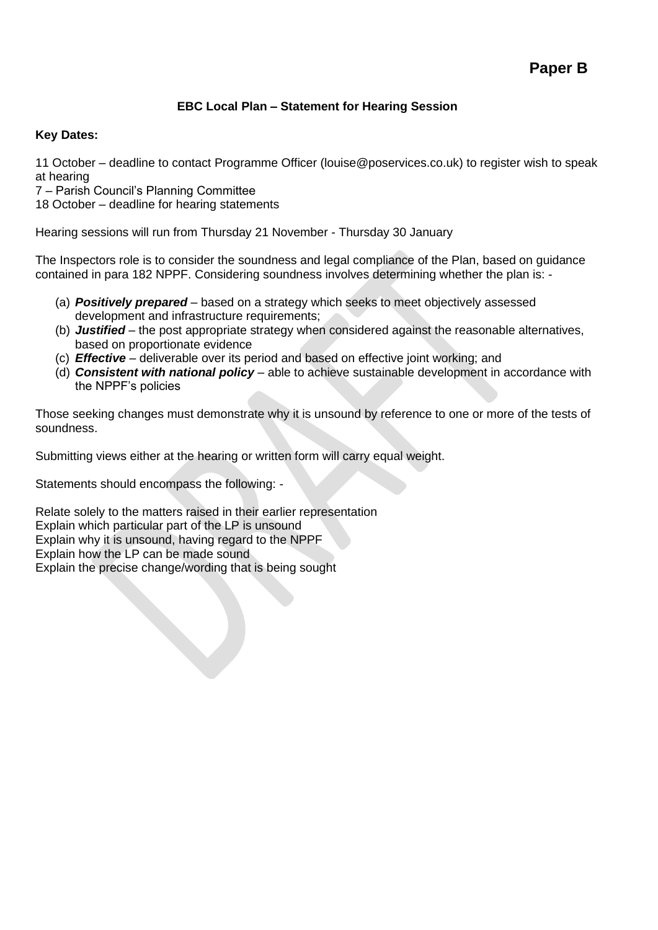# **EBC Local Plan – Statement for Hearing Session**

#### **Key Dates:**

11 October – deadline to contact Programme Officer (louise@poservices.co.uk) to register wish to speak at hearing

7 – Parish Council's Planning Committee

18 October – deadline for hearing statements

Hearing sessions will run from Thursday 21 November - Thursday 30 January

The Inspectors role is to consider the soundness and legal compliance of the Plan, based on guidance contained in para 182 NPPF. Considering soundness involves determining whether the plan is: -

- (a) *Positively prepared* based on a strategy which seeks to meet objectively assessed development and infrastructure requirements;
- (b) *Justified* the post appropriate strategy when considered against the reasonable alternatives, based on proportionate evidence
- (c) *Effective* deliverable over its period and based on effective joint working; and
- (d) *Consistent with national policy* able to achieve sustainable development in accordance with the NPPF's policies

Those seeking changes must demonstrate why it is unsound by reference to one or more of the tests of soundness.

Submitting views either at the hearing or written form will carry equal weight.

Statements should encompass the following: -

Relate solely to the matters raised in their earlier representation Explain which particular part of the LP is unsound Explain why it is unsound, having regard to the NPPF Explain how the LP can be made sound Explain the precise change/wording that is being sought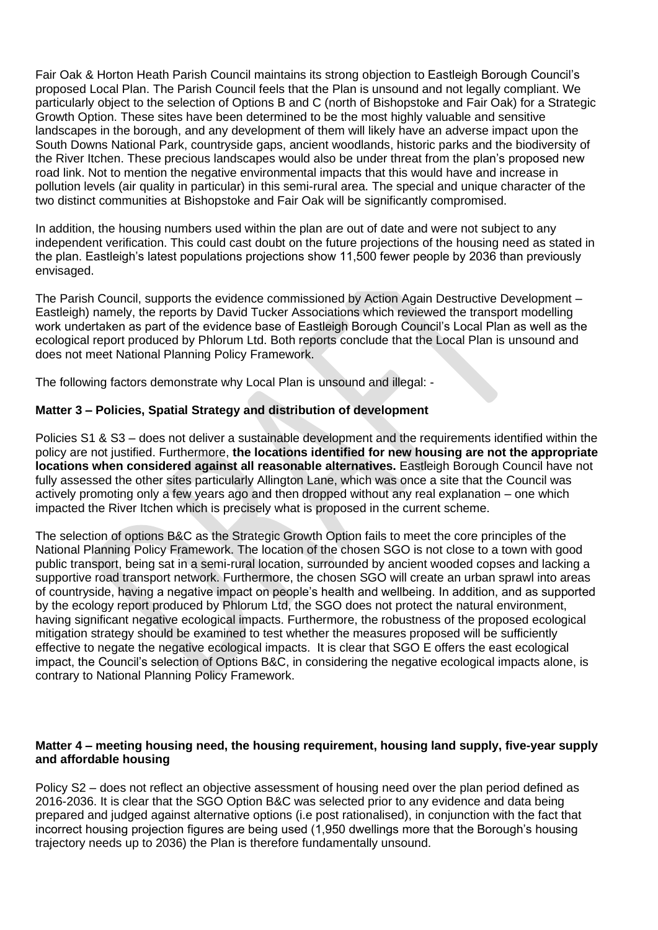Fair Oak & Horton Heath Parish Council maintains its strong objection to Eastleigh Borough Council's proposed Local Plan. The Parish Council feels that the Plan is unsound and not legally compliant. We particularly object to the selection of Options B and C (north of Bishopstoke and Fair Oak) for a Strategic Growth Option. These sites have been determined to be the most highly valuable and sensitive landscapes in the borough, and any development of them will likely have an adverse impact upon the South Downs National Park, countryside gaps, ancient woodlands, historic parks and the biodiversity of the River Itchen. These precious landscapes would also be under threat from the plan's proposed new road link. Not to mention the negative environmental impacts that this would have and increase in pollution levels (air quality in particular) in this semi-rural area. The special and unique character of the two distinct communities at Bishopstoke and Fair Oak will be significantly compromised.

In addition, the housing numbers used within the plan are out of date and were not subject to any independent verification. This could cast doubt on the future projections of the housing need as stated in the plan. Eastleigh's latest populations projections show 11,500 fewer people by 2036 than previously envisaged.

The Parish Council, supports the evidence commissioned by Action Again Destructive Development – Eastleigh) namely, the reports by David Tucker Associations which reviewed the transport modelling work undertaken as part of the evidence base of Eastleigh Borough Council's Local Plan as well as the ecological report produced by Phlorum Ltd. Both reports conclude that the Local Plan is unsound and does not meet National Planning Policy Framework.

The following factors demonstrate why Local Plan is unsound and illegal: -

### **Matter 3 – Policies, Spatial Strategy and distribution of development**

Policies S1 & S3 – does not deliver a sustainable development and the requirements identified within the policy are not justified. Furthermore, **the locations identified for new housing are not the appropriate locations when considered against all reasonable alternatives.** Eastleigh Borough Council have not fully assessed the other sites particularly Allington Lane, which was once a site that the Council was actively promoting only a few years ago and then dropped without any real explanation – one which impacted the River Itchen which is precisely what is proposed in the current scheme.

The selection of options B&C as the Strategic Growth Option fails to meet the core principles of the National Planning Policy Framework. The location of the chosen SGO is not close to a town with good public transport, being sat in a semi-rural location, surrounded by ancient wooded copses and lacking a supportive road transport network. Furthermore, the chosen SGO will create an urban sprawl into areas of countryside, having a negative impact on people's health and wellbeing. In addition, and as supported by the ecology report produced by Phlorum Ltd, the SGO does not protect the natural environment, having significant negative ecological impacts. Furthermore, the robustness of the proposed ecological mitigation strategy should be examined to test whether the measures proposed will be sufficiently effective to negate the negative ecological impacts. It is clear that SGO E offers the east ecological impact, the Council's selection of Options B&C, in considering the negative ecological impacts alone, is contrary to National Planning Policy Framework.

#### **Matter 4 – meeting housing need, the housing requirement, housing land supply, five-year supply and affordable housing**

Policy S2 – does not reflect an objective assessment of housing need over the plan period defined as 2016-2036. It is clear that the SGO Option B&C was selected prior to any evidence and data being prepared and judged against alternative options (i.e post rationalised), in conjunction with the fact that incorrect housing projection figures are being used (1,950 dwellings more that the Borough's housing trajectory needs up to 2036) the Plan is therefore fundamentally unsound.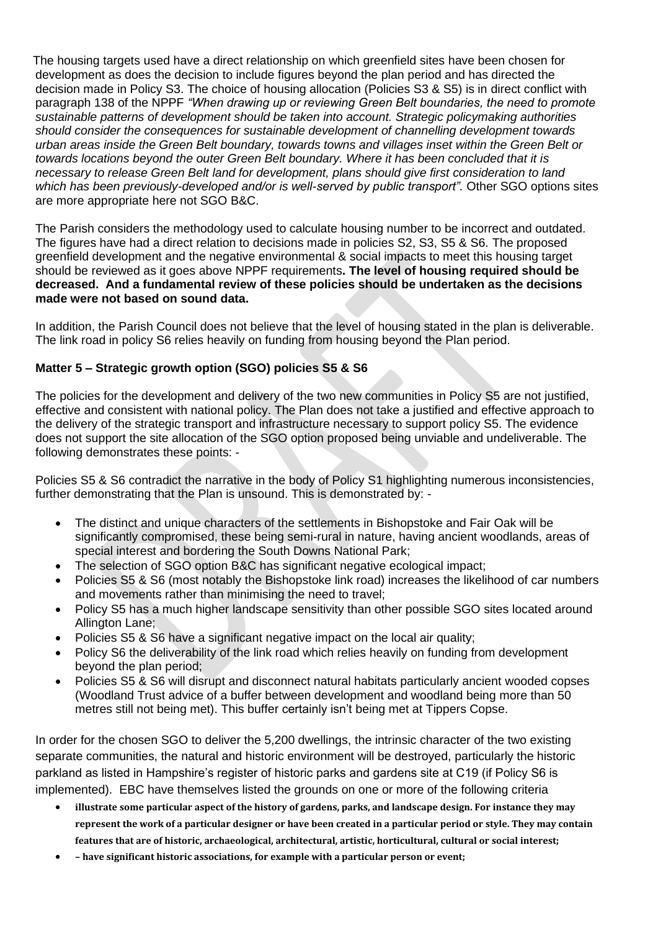The housing targets used have a direct relationship on which greenfield sites have been chosen for development as does the decision to include figures beyond the plan period and has directed the decision made in Policy S3. The choice of housing allocation (Policies S3 & S5) is in direct conflict with paragraph 138 of the NPPF *"When drawing up or reviewing Green Belt boundaries, the need to promote sustainable patterns of development should be taken into account. Strategic policymaking authorities should consider the consequences for sustainable development of channelling development towards urban areas inside the Green Belt boundary, towards towns and villages inset within the Green Belt or towards locations beyond the outer Green Belt boundary. Where it has been concluded that it is necessary to release Green Belt land for development, plans should give first consideration to land*  which has been previously-developed and/or is well-served by public transport". Other SGO options sites are more appropriate here not SGO B&C.

The Parish considers the methodology used to calculate housing number to be incorrect and outdated. The figures have had a direct relation to decisions made in policies S2, S3, S5 & S6. The proposed greenfield development and the negative environmental & social impacts to meet this housing target should be reviewed as it goes above NPPF requirements**. The level of housing required should be decreased. And a fundamental review of these policies should be undertaken as the decisions made were not based on sound data.** 

In addition, the Parish Council does not believe that the level of housing stated in the plan is deliverable. The link road in policy S6 relies heavily on funding from housing beyond the Plan period.

# **Matter 5 – Strategic growth option (SGO) policies S5 & S6**

The policies for the development and delivery of the two new communities in Policy S5 are not justified, effective and consistent with national policy. The Plan does not take a justified and effective approach to the delivery of the strategic transport and infrastructure necessary to support policy S5. The evidence does not support the site allocation of the SGO option proposed being unviable and undeliverable. The following demonstrates these points: -

Policies S5 & S6 contradict the narrative in the body of Policy S1 highlighting numerous inconsistencies, further demonstrating that the Plan is unsound. This is demonstrated by: -

- The distinct and unique characters of the settlements in Bishopstoke and Fair Oak will be significantly compromised, these being semi-rural in nature, having ancient woodlands, areas of special interest and bordering the South Downs National Park;
- The selection of SGO option B&C has significant negative ecological impact;
- Policies S5 & S6 (most notably the Bishopstoke link road) increases the likelihood of car numbers and movements rather than minimising the need to travel;
- Policy S5 has a much higher landscape sensitivity than other possible SGO sites located around Allington Lane;
- Policies S5 & S6 have a significant negative impact on the local air quality;
- Policy S6 the deliverability of the link road which relies heavily on funding from development beyond the plan period;
- Policies S5 & S6 will disrupt and disconnect natural habitats particularly ancient wooded copses (Woodland Trust advice of a buffer between development and woodland being more than 50 metres still not being met). This buffer certainly isn't being met at Tippers Copse.

In order for the chosen SGO to deliver the 5,200 dwellings, the intrinsic character of the two existing separate communities, the natural and historic environment will be destroyed, particularly the historic parkland as listed in Hampshire's register of historic parks and gardens site at C19 (if Policy S6 is implemented). EBC have themselves listed the grounds on one or more of the following criteria

- illustrate some particular aspect of the history of gardens, parks, and landscape design. For instance they may represent the work of a particular designer or have been created in a particular period or style. They may contain **features that are of historic, archaeological, architectural, artistic, horticultural, cultural or social interest;**
- **– have significant historic associations, for example with a particular person or event;**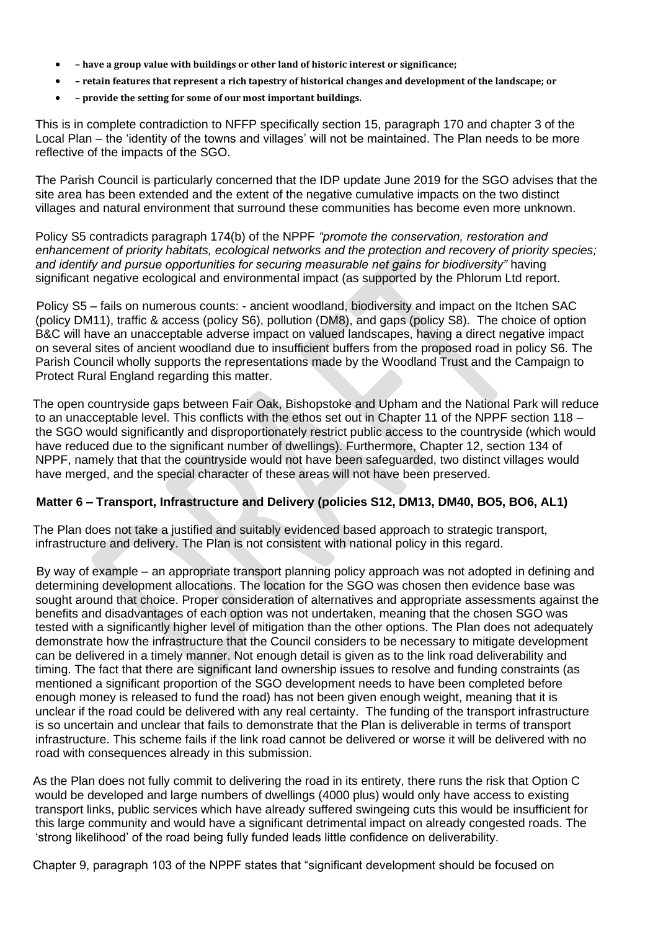- **– have a group value with buildings or other land of historic interest or significance;**
- retain features that represent a rich tapestry of historical changes and development of the landscape: or
- **– provide the setting for some of our most important buildings.**

This is in complete contradiction to NFFP specifically section 15, paragraph 170 and chapter 3 of the Local Plan – the 'identity of the towns and villages' will not be maintained. The Plan needs to be more reflective of the impacts of the SGO.

The Parish Council is particularly concerned that the IDP update June 2019 for the SGO advises that the site area has been extended and the extent of the negative cumulative impacts on the two distinct villages and natural environment that surround these communities has become even more unknown.

Policy S5 contradicts paragraph 174(b) of the NPPF *"promote the conservation, restoration and enhancement of priority habitats, ecological networks and the protection and recovery of priority species; and identify and pursue opportunities for securing measurable net gains for biodiversity"* having significant negative ecological and environmental impact (as supported by the Phlorum Ltd report.

 Policy S5 – fails on numerous counts: - ancient woodland, biodiversity and impact on the Itchen SAC (policy DM11), traffic & access (policy S6), pollution (DM8), and gaps (policy S8). The choice of option B&C will have an unacceptable adverse impact on valued landscapes, having a direct negative impact on several sites of ancient woodland due to insufficient buffers from the proposed road in policy S6. The Parish Council wholly supports the representations made by the Woodland Trust and the Campaign to Protect Rural England regarding this matter.

 The open countryside gaps between Fair Oak, Bishopstoke and Upham and the National Park will reduce to an unacceptable level. This conflicts with the ethos set out in Chapter 11 of the NPPF section 118 – the SGO would significantly and disproportionately restrict public access to the countryside (which would have reduced due to the significant number of dwellings). Furthermore, Chapter 12, section 134 of NPPF, namely that that the countryside would not have been safeguarded, two distinct villages would have merged, and the special character of these areas will not have been preserved.

#### **Matter 6 – Transport, Infrastructure and Delivery (policies S12, DM13, DM40, BO5, BO6, AL1)**

 The Plan does not take a justified and suitably evidenced based approach to strategic transport, infrastructure and delivery. The Plan is not consistent with national policy in this regard.

 By way of example – an appropriate transport planning policy approach was not adopted in defining and determining development allocations. The location for the SGO was chosen then evidence base was sought around that choice. Proper consideration of alternatives and appropriate assessments against the benefits and disadvantages of each option was not undertaken, meaning that the chosen SGO was tested with a significantly higher level of mitigation than the other options. The Plan does not adequately demonstrate how the infrastructure that the Council considers to be necessary to mitigate development can be delivered in a timely manner. Not enough detail is given as to the link road deliverability and timing. The fact that there are significant land ownership issues to resolve and funding constraints (as mentioned a significant proportion of the SGO development needs to have been completed before enough money is released to fund the road) has not been given enough weight, meaning that it is unclear if the road could be delivered with any real certainty. The funding of the transport infrastructure is so uncertain and unclear that fails to demonstrate that the Plan is deliverable in terms of transport infrastructure. This scheme fails if the link road cannot be delivered or worse it will be delivered with no road with consequences already in this submission.

 As the Plan does not fully commit to delivering the road in its entirety, there runs the risk that Option C would be developed and large numbers of dwellings (4000 plus) would only have access to existing transport links, public services which have already suffered swingeing cuts this would be insufficient for this large community and would have a significant detrimental impact on already congested roads. The 'strong likelihood' of the road being fully funded leads little confidence on deliverability.

Chapter 9, paragraph 103 of the NPPF states that "significant development should be focused on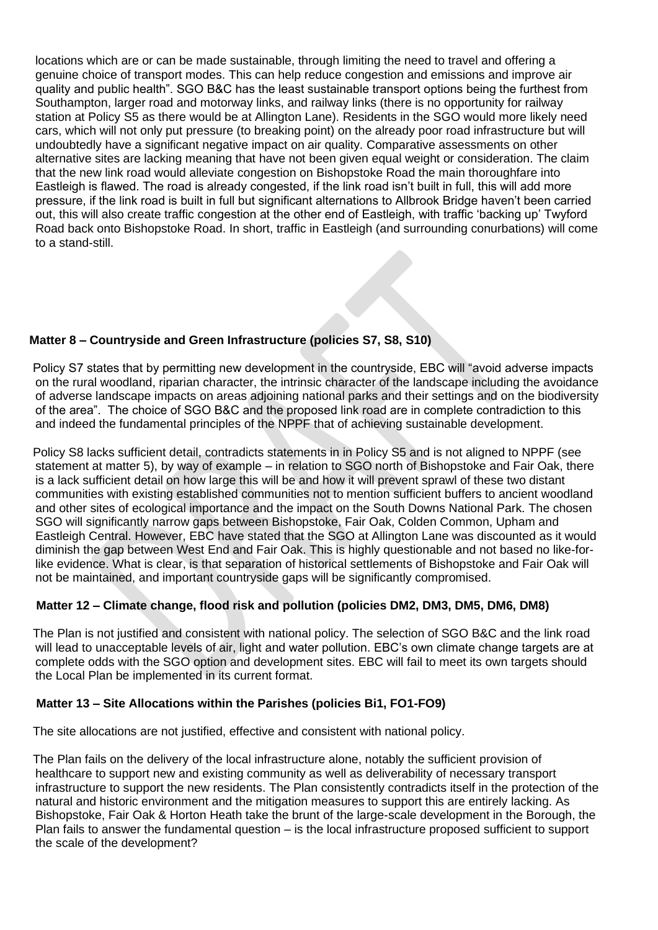locations which are or can be made sustainable, through limiting the need to travel and offering a genuine choice of transport modes. This can help reduce congestion and emissions and improve air quality and public health". SGO B&C has the least sustainable transport options being the furthest from Southampton, larger road and motorway links, and railway links (there is no opportunity for railway station at Policy S5 as there would be at Allington Lane). Residents in the SGO would more likely need cars, which will not only put pressure (to breaking point) on the already poor road infrastructure but will undoubtedly have a significant negative impact on air quality. Comparative assessments on other alternative sites are lacking meaning that have not been given equal weight or consideration. The claim that the new link road would alleviate congestion on Bishopstoke Road the main thoroughfare into Eastleigh is flawed. The road is already congested, if the link road isn't built in full, this will add more pressure, if the link road is built in full but significant alternations to Allbrook Bridge haven't been carried out, this will also create traffic congestion at the other end of Eastleigh, with traffic 'backing up' Twyford Road back onto Bishopstoke Road. In short, traffic in Eastleigh (and surrounding conurbations) will come to a stand-still.

# **Matter 8 – Countryside and Green Infrastructure (policies S7, S8, S10)**

 Policy S7 states that by permitting new development in the countryside, EBC will "avoid adverse impacts on the rural woodland, riparian character, the intrinsic character of the landscape including the avoidance of adverse landscape impacts on areas adjoining national parks and their settings and on the biodiversity of the area". The choice of SGO B&C and the proposed link road are in complete contradiction to this and indeed the fundamental principles of the NPPF that of achieving sustainable development.

 Policy S8 lacks sufficient detail, contradicts statements in in Policy S5 and is not aligned to NPPF (see statement at matter 5), by way of example – in relation to SGO north of Bishopstoke and Fair Oak, there is a lack sufficient detail on how large this will be and how it will prevent sprawl of these two distant communities with existing established communities not to mention sufficient buffers to ancient woodland and other sites of ecological importance and the impact on the South Downs National Park. The chosen SGO will significantly narrow gaps between Bishopstoke, Fair Oak, Colden Common, Upham and Eastleigh Central. However, EBC have stated that the SGO at Allington Lane was discounted as it would diminish the gap between West End and Fair Oak. This is highly questionable and not based no like-forlike evidence. What is clear, is that separation of historical settlements of Bishopstoke and Fair Oak will not be maintained, and important countryside gaps will be significantly compromised.

# **Matter 12 – Climate change, flood risk and pollution (policies DM2, DM3, DM5, DM6, DM8)**

 The Plan is not justified and consistent with national policy. The selection of SGO B&C and the link road will lead to unacceptable levels of air, light and water pollution. EBC's own climate change targets are at complete odds with the SGO option and development sites. EBC will fail to meet its own targets should the Local Plan be implemented in its current format.

#### **Matter 13 – Site Allocations within the Parishes (policies Bi1, FO1-FO9)**

The site allocations are not justified, effective and consistent with national policy.

 The Plan fails on the delivery of the local infrastructure alone, notably the sufficient provision of healthcare to support new and existing community as well as deliverability of necessary transport infrastructure to support the new residents. The Plan consistently contradicts itself in the protection of the natural and historic environment and the mitigation measures to support this are entirely lacking. As Bishopstoke, Fair Oak & Horton Heath take the brunt of the large-scale development in the Borough, the Plan fails to answer the fundamental question – is the local infrastructure proposed sufficient to support the scale of the development?